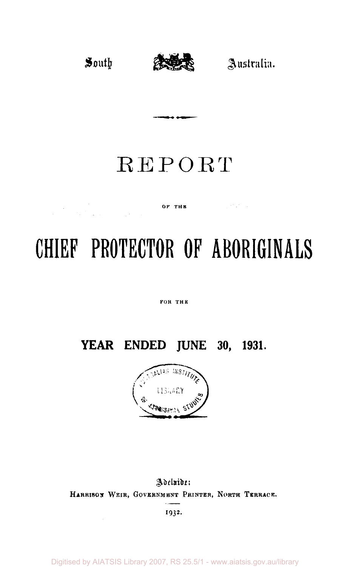an an Dùbhlach<br>Bhaile an Dùbhlach an Dùbhlach



## REPORT

#### OF THE  $\mathbf{C} = \mathbf{C} \mathbf{C}$

# **CHIEF PROTECTOR OF ABORIGINALS**

FOR THE

**YEAR ENDED JUNE 30, 1931.** 



Adeluide: HARRISON WEIR, GOVERNMENT PRINTER, NORTH TERRACE.

1932-

Digitised by AIATSIS Library 2007, RS 25.5/1 - www.aiatsis.gov.au/library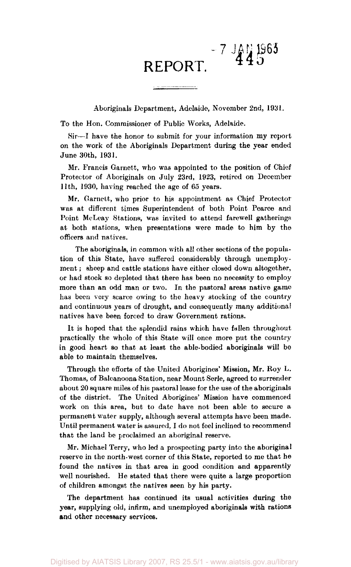### $-7 \frac{140}{44}$  1963 **REPORT. ^ <sup>d</sup>**

Aboriginals Department, Adelaide, November 2nd, 1931.

To the Hon. Commissioner of Public Works, Adelaide.

Sir—I have the honor to submit for your information my report on the work of the Aboriginals Department during the year ended June 30th, 1931.

Mr. Francis Garnett, who was appointed to the position of Chief Protector of Aboriginals on July 23rd, 1923, retired on December 11th, 1930, having reached the age of 65 years.

Mr. Garnett, who prior to his appointment as Chief Protector was at different times Superintendent of both Point Pearce and Point McLeay Stations, was invited to attend farewell gatherings at both stations, when presentations were made to him by the officers and natives.

The aboriginals, in common with all other sections of the population of this State, have suffered considerably through unemployment; sheep and cattle stations have either closed down altogether, or had stock so depleted that there has been no necessity to employ more than an odd man or two. In the pastoral areas native game has been very scarce owing to the heavy stocking of the country and continuous years of drought, and consequently many additional natives have been forced to draw Government rations.

It is hoped that the splendid rains which have fallen throughout practically the whole of this State will once more put the country in good heart so that at least the able-bodied aboriginals will be able to maintain themselves.

Through the efforts of the United Aborigines' Mission, Mr. Roy L. Thomas, of Balcanoona Station, near Mount Serle, agreed to surrender about 20 square miles of his pastoral lease for the use of the aboriginals of the district. The United Aborigines' Mission have commenced work on this area, but to date have not been able to secure a permanent water supply, although several attempts have been made. Until permanent water is assured, I do not feel inclined to recommend that the land be proclaimed an aboriginal reserve.

Mr. Michael Terry, who led a prospecting party into the aboriginal reserve in the north-west corner of this State, reported to me that he found the natives in that area in good condition and apparently well nourished. He stated that there were quite a large proportion of children amongst the natives seen by his party.

The department has continued its usual activities during the year, supplying old, infirm, and unemployed aboriginals with rations and other necessary services.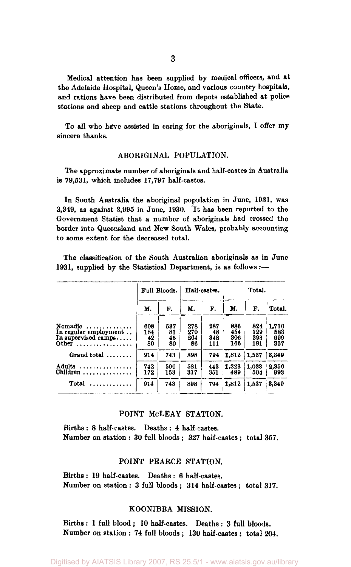Medical attention has been supplied by medical officers, and at the Adelaide Hospital, Queen's Home, and various country hospitals, and rations have been distributed from depots established at police stations and sheep and cattle stations throughout the State.

To all who have assisted in caring for the aboriginals, I offer my sincere thanks.

#### ABORIGINAL POPULATION.

The approximate number of aboriginals and half-castes in Australia is 79,531, which includes 17,797 half-castes.

In South Australia the aboriginal population in June, 1931, was 3,349, as against 3,995 in June, 1930. It has been reported to the Government Statist that a number of aboriginals had crossed the border into Queensland and New South Wales, probably accounting to some extent for the decreased total.

The classification of the South Australian aboriginals as in June 1931, supplied by the Statistical Department, is as follows:—

|                                                                       |                        | Full Bloods.          | Half-castes.            |                         |                          | Total.                   |                            |
|-----------------------------------------------------------------------|------------------------|-----------------------|-------------------------|-------------------------|--------------------------|--------------------------|----------------------------|
|                                                                       | м.                     | F.                    | М.                      | F.                      | М.                       | F.                       | Total.                     |
| Nomadic<br>.<br>In regular employment<br>In supervised camps<br>Other | 608<br>184<br>42<br>80 | 537<br>81<br>45<br>80 | 278<br>270<br>264<br>86 | 287<br>48<br>348<br>111 | 886<br>454<br>806<br>166 | 824<br>129<br>393<br>191 | 1.710<br>583<br>699<br>357 |
| Grand total $\ldots$                                                  | 914                    | 743                   | 898                     |                         | 794 1,812                | 1,537                    | 3,349                      |
| Adults<br>.<br>Children<br>. <b>.</b>                                 | 742<br>172             | 590<br>153            | 581<br>317              | 443<br>351              | 1.323<br>489             | 1.033<br>504             | 2,356<br>993               |
| Total<br>. <b>.</b> .                                                 | 914                    | 743                   | 898                     | 794                     | 1,812                    | 1.537                    | 8.349                      |

#### POINT McLEAY STATION.

Births : 8 half-castes. Deaths : 4 half-castes. Number on station : 30 full bloods ; 327 half-castes ; total 357.

#### POINT PEARCE STATION.

Births : 19 half-castes. Deaths : 6 half-castes. Number on station : 3 full bloods ; 314 half-castes j total 317.

#### KOONIBBA MISSION.

Births : 1 full blood ; 10 half-castes. Deaths : 3 full bloods. Number on station : 74 full bloods ; 130 half-castes; total 204.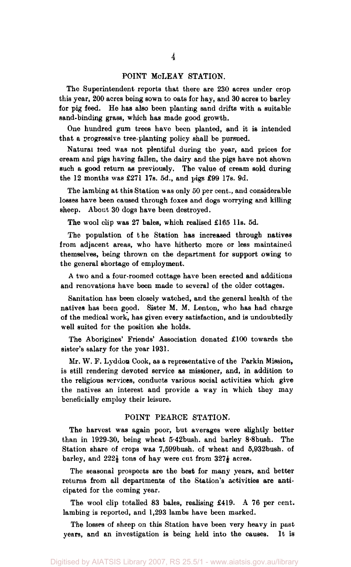#### POINT McLEAY STATION.

The Superintendent reports that there are 230 acres under crop this year, 200 acres being sown to oats for hay, and 30 acres to barley for pig feed. He has also been planting sand drifts with a suitable sand-binding grass, which has made good growth.

One hundred gum trees have been planted, and it is intended that a progressive tree-planting policy shall be pursued.

Natural teed was not plentiful during the year, and prices for cream and pigs having fallen, the dairy and the pigs have not shown such a good return as previously. The value of cream sold during the 12 months was £271 17s. 5d., and pigs £99 17s. 9d.

The lambing at this Station was only 50 per cent., and considerable losses have been caused through foxes and dogs worrying and killing sheep. About 30 dogs have been destroyed.

The wool clip was 27 bales, which realised £165 l1s. 5d.

The population of the Station has increased through natives from adjacent areas, who have hitherto more or less maintained themselves, being thrown on the department for support owing to the general shortage of employment.

A two and a four-roomed cottage have been erected and additions and renovations have been made to several of the older cottages.

Sanitation has been closely watched, and the general health of the natives has been good. Sister M. M. Lenton, who has had charge of the medical work, has given every satisfaction, and is undoubtedly well suited for the position she holds.

The Aborigines' Friends' Association donated £100 towards the sister's salary for the year 1931.

Mr. W. F. Lyddon Cook, as a representative of the Parkin Mission, is still rendering devoted service as missioner, and, in addition to the religious services, conducts various social activities which give the natives an interest and provide a way in which they may beneficially employ their leisure.

#### POINT PEARCE STATION.

The harvest was again poor, but averages were slightly better than in 1929-30, being wheat 5.42bush. and barley 8.8bush. The Station share of crops was 7,599bush. of wheat and 5,932bush. of barley, and  $222\frac{1}{2}$  tons of hay were cut from  $327\frac{1}{2}$  acres.

The seasonal prospects are the best for many years, and better returns from all departments of the Station's activities are anticipated for the coming year.

The wool clip totalled 83 bales, realising £419. A 76 per cent, lambing is reported, and 1,293 lambs have been marked.

The losses of sheep on this Station have been very heavy in past years, and an investigation is being held into the causes. It is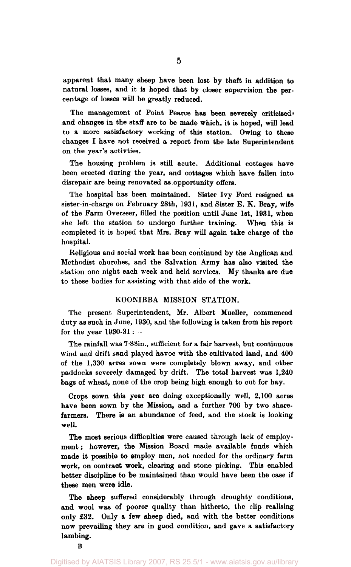apparent that many sheep have been lost by theft in addition to natural losses, and it is hoped that by closer supervision the percentage of losses will be greatly reduced.

The management of Point Pearce has been severely criticised' and changes in the staff are to be made which, it is hoped, will lead to a more satisfactory working of this station. Owing to these changes I have not received a report from the late Superintendent on the year's activties.

The housing problem is still acute. Additional cottages have been erected during the year, and cottages which have fallen into disrepair are being renovated as opportunity offers.

The hospital has been maintained. Sister Ivy Ford resigned as sister-in-charge on February 28th, 1931, and Sister E. K. Bray, wife of the Farm Overseer, filled the position until June 1st, 1931, when she left the station to undergo further training. When this is completed it is hoped that Mrs. Bray will again take charge of the hospital.

Religious and social work has been continued by the Anglican and Methodist churches, and the Salvation Army has also visited the station one night each week and held services. My thanks are due to these bodies for assisting with that side of the work.

#### KOONIBBA MISSION STATION.

The present Superintendent, Mr. Albert Mueller, commenced duty as such in June, 1930, and the following is taken from his report for the year  $1930-31$  :-

The rainfall was 7.88in., sufficient for a fair harvest, but continuous wind and drift sand played havoc with the cultivated land, and 400 of the 1,330 acres sown were completely blown away, and other paddocks severely damaged by drift. The total harvest was 1,240 bags of wheat, none of the crop being high enough to cut for hay.

Crops sown this year are doing exceptionally well, 2,100 acres have been sown by the Mission, and a further 700 by two sharefarmers. There is an abundance of feed, and the stock is looking well.

The most serious difficulties were caused through lack of employment : however, the Mission Board made available funds which made it possible to employ men, not needed for the ordinary farm work, on contract **work,** clearing and stone picking. This enabled better discipline to be maintained than would have been the case if these men were idle.

The sheep suffered considerably through droughty conditions, and wool was of poorer quality than hitherto, the clip realising only £32. Only a few sheep died, and with the better conditions now prevailing they are in good condition, and gave a satisfactory lambing.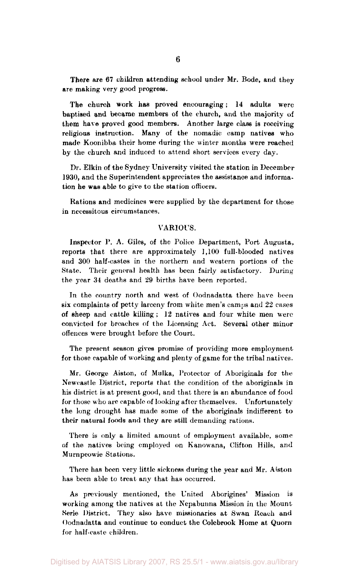There are 67 children attending school under Mr. Bode, and they are making very good progress.

The church work has proved encouraging; 14 adults were baptised and became members of the church, and the majority of them have proved good members. Another large class is receiving religious instruction. Many of the nomadic camp natives who made Koonibba their home during the winter months were reached by the church and induced to attend short services every day.

Dr. Elkin of the Sydney University visited the station in December 1930, and the Superintendent appreciates the assistance and information he was able to give to the station officers.

Rations and medicines were supplied by the department for those in necessitous circumstances.

#### VARIOUS.

Inspector P. A. Giles, of the Police Department, Port Augusta, reports that there are approximately 1,100 full-blooded natives and 300 half-castes in the northern and western portions of the State. Their general health has been fairly satisfactory. During the year 34 deaths and 29 births have been reported.

In the country north and west of Oodnadatta there have been six complaints of petty larceny from white men's camps and 22 cases of sheep and cattle killing ; 12 natives and four white men were convicted for breaches of the Licensing Act. Several other minor offences were brought before the Court.

The present season gives promise of providing more employment for those capable of working and plenty of game for the tribal natives.

Mr. George Aiston, of Mulka, Protector of Aboriginals for the Newcastle District, reports that the condition of the aboriginals in his district is at present good, and that there is an abundance of food for those who are capable of looking after themselves. Unfortunately the long drought has made some of the aboriginals indifferent to their natural foods and they are still demanding rations.

There is only a limited amount of employment available, some of the natives being employed on Kanowana, Clifton Hills, and Murnpeowie Stations.

There has been very little sickness during the year and Mr. Aiston has been able to treat any that has occurred.

As previously mentioned, the United Aborigines' Mission is working among the natives at the Nepabunna Mission in the Mount Serle District. They also have missionaries at Swan Reach and Oodnadatta and continue to conduct the Colebrook Home at Quorn for half-caste children.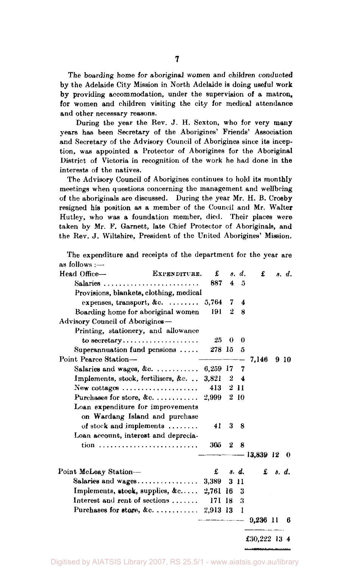The boarding home for aboriginal women and children conducted by the Adelaide City Mission in North Adelaide is doing useful work by providing accommodation, under the supervision of a matron, for women and children visiting the city for medical attendance and other necessary reasons.

During the year the Kev. J. H. Sexton, who for very many years has been Secretary of the Aborigines' Friends' Association and Secretary of the Advisory Council of Aborigines since its inception, was appointed a Protector of Aborigines for the Aboriginal District of Victoria in recognition of the work he had done in the interests of the natives.

The Advisory Council of Aborigines continues to hold its monthly meetings when questions concerning the management and wellbeing of the aboriginals are discussed. During the year Mr. H. B. Crosby resigned his position as a member of the Council and Mr. Walter Hutley, who was a foundation member, died. Their places were taken by Mr. F. Garnett, late Chief Protector of Aboriginals, and the Rev. J. Wiltshire, President of the United Aborigines' Mission.

The expenditure and receipts of the department for the year are as follows :—

| Head Office-<br>EXPENDITURE.                                       | £        |                                   | s. d.      | £              |               | s. d. |
|--------------------------------------------------------------------|----------|-----------------------------------|------------|----------------|---------------|-------|
| Salaries                                                           | 887      | 4                                 | 5          |                |               |       |
| Provisions, blankets, clothing, medical                            |          |                                   |            |                |               |       |
| expenses, transport, &c. $\ldots \ldots$                           | 5,764    | 7                                 | 4          |                |               |       |
| Boarding home for aboriginal women                                 | 191      | 2                                 | 8          |                |               |       |
| Advisory Council of Aborigines-                                    |          |                                   |            |                |               |       |
| Printing, stationery, and allowance                                |          |                                   |            |                |               |       |
| to secretary                                                       | 25.      | $\bf{0}$                          | $\Omega$   |                |               |       |
| Superannuation fund pensions $\ldots$ .                            | 278 15 5 |                                   |            |                |               |       |
| Point Pearce Station-                                              |          |                                   |            | 7,146          |               | 910   |
| Salaries and wages, &c.                                            | 6,259 17 |                                   | - 7        |                |               |       |
| Implements, stock, fertilisers, &c                                 | 3.821    |                                   | $2\quad 4$ |                |               |       |
| New cottages $\dots\dots\dots\dots\dots\dots\dots$                 | 413      |                                   | 2 11       |                |               |       |
| Purchases for store, $\&c$                                         | 2.999    |                                   | 210        |                |               |       |
| Loan expenditure for improvements                                  |          |                                   |            |                |               |       |
| on Wardang Island and purchase                                     |          |                                   |            |                |               |       |
| of stock and implements                                            | 41       | 3                                 | - 8        |                |               |       |
| Loan account, interest and deprecia-                               |          |                                   |            |                |               |       |
| $tion \dots \dots \dots \dots \dots \dots \dots \dots \dots \dots$ | 305      | $\mathbf 2$                       | 8          |                |               |       |
|                                                                    |          |                                   |            | -- 13,839 12 0 |               |       |
| Point McLeay Station-                                              |          | $\pounds$ $\pmb{s}$ . $\pmb{d}$ . |            |                | $f$ $s$ $d$ . |       |
| Salaries and $wages \ldots \ldots \ldots \ldots$                   | 3.389    |                                   | 3 11       |                |               |       |
| Implements, stock, supplies, $\&c$ 2,761 16                        |          |                                   | 2          |                |               |       |
| Interest and rent of sections                                      | 171 18   |                                   | 3          |                |               |       |
|                                                                    |          |                                   | -1         |                |               |       |
|                                                                    |          |                                   | $-- -$     | $9,236$ 11     |               | 6     |
|                                                                    |          |                                   |            | £30,222 13 4   |               |       |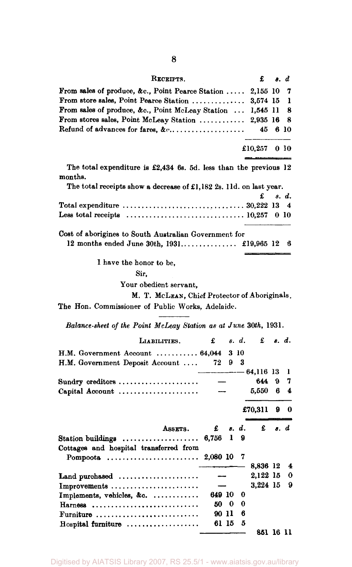| RECEIPTS.                                                                                                 |          |       |       | £                    |                                          | s. d   |
|-----------------------------------------------------------------------------------------------------------|----------|-------|-------|----------------------|------------------------------------------|--------|
| From sales of produce, &c., Point Pearce Station                                                          |          |       |       | 2,155 10             |                                          | 7      |
| From store sales, Point Pearce Station  3,574 15                                                          |          |       |       |                      |                                          | 1      |
| From sales of produce, &c., Point McLeay Station                                                          |          |       |       | 1,545 11             |                                          | 8      |
| From stores sales, Point McLeay Station  2,935 16                                                         |          |       |       |                      |                                          | 8      |
| Refund of advances for fares, $\& c_1, \ldots, \ldots, \ldots, \ldots, \ldots$                            |          |       |       | 45                   |                                          | 6 10   |
|                                                                                                           |          |       |       | £10,257              |                                          | 010    |
| The total expenditure is $\pounds2,434$ 6s. 5d. less than the previous 12<br>months.                      |          |       |       |                      |                                          |        |
| The total receipts show a decrease of £1,182 2s. 11d. on last year.                                       |          |       |       |                      |                                          |        |
|                                                                                                           |          |       |       | £                    |                                          | s. d.  |
|                                                                                                           |          |       |       |                      |                                          | 4      |
| Less total receipts $\ldots \ldots \ldots \ldots \ldots \ldots \ldots \ldots \ldots \ldots \ldots 10,257$ |          |       |       |                      |                                          | 0 10   |
| Cost of aborigines to South Australian Government for                                                     |          |       |       |                      |                                          |        |
|                                                                                                           |          |       |       |                      |                                          | 6      |
| I have the honor to be,                                                                                   |          |       |       |                      |                                          |        |
| Sir.                                                                                                      |          |       |       |                      |                                          |        |
| Your obedient servant,                                                                                    |          |       |       |                      |                                          |        |
| M. T. McLEAN, Chief Protector of Aboriginals.                                                             |          |       |       |                      |                                          |        |
| The Hon. Commissioner of Public Works, Adelaide.                                                          |          |       |       |                      |                                          |        |
| Balance-sheet of the Point McLeay Station as at June 30th, 1931.                                          |          |       |       |                      |                                          |        |
| LIABILITIES.                                                                                              | £        |       | s. d. |                      | $\mathbf{f}$ $\mathbf{s}$ $\mathbf{d}$ . |        |
| H.M. Government Account  64,044                                                                           |          |       | 3 10  |                      |                                          |        |
| H.M. Government Deposit Account                                                                           | 72       | 9     | 3     |                      |                                          |        |
|                                                                                                           |          |       |       | $-64,116$ 13<br>644. | 9.                                       | 1<br>7 |
| Sundry creditors<br>Capital Account                                                                       |          |       |       | 5,550                | 6                                        | 4      |
|                                                                                                           |          |       |       |                      |                                          |        |
|                                                                                                           |          |       |       | £70,311              | 9                                        | 0      |
| ASSETS.                                                                                                   | £        |       | s. d. | £                    | 8.                                       | d      |
| Station buildings                                                                                         | 6,756    | 1     | 9     |                      |                                          |        |
| Cottages and hospital transferred from                                                                    |          |       |       |                      |                                          |        |
| Pompoota                                                                                                  | 2,080 10 |       | 7     |                      |                                          |        |
|                                                                                                           |          |       |       | 8,836 12<br>2,122 15 |                                          | 4<br>0 |
| Land purchased<br>Improvements                                                                            |          |       |       | 3,224 15             |                                          | 9      |
| Implements, vehicles, $\&c.$                                                                              | 649 10   |       | 0     |                      |                                          |        |
| Harness                                                                                                   | 50 -     | 0     | 0     |                      |                                          |        |
| Furniture                                                                                                 |          | 90 11 | 6     |                      |                                          |        |
| Hospital furniture                                                                                        |          |       |       |                      |                                          |        |
|                                                                                                           |          | 61 I5 | 5     | 851 16 11            |                                          |        |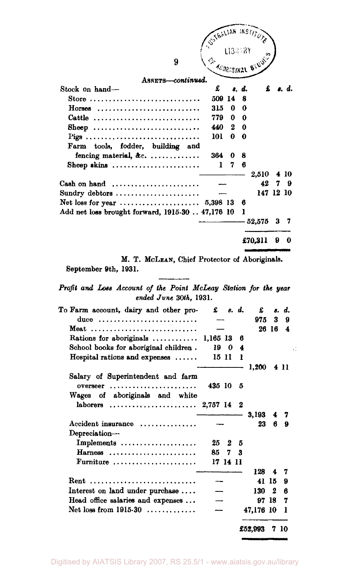|                                                                                                                                              |          |               |         | USTRALIAN INSTITUTE |        |           |
|----------------------------------------------------------------------------------------------------------------------------------------------|----------|---------------|---------|---------------------|--------|-----------|
|                                                                                                                                              |          |               |         |                     |        |           |
|                                                                                                                                              |          |               | LIBRARY |                     |        |           |
| 9                                                                                                                                            |          |               |         |                     |        |           |
| ASSETS-continued.                                                                                                                            |          |               |         |                     |        |           |
| Stock on hand-                                                                                                                               | £        |               | s. d.   |                     | £      | s. d.     |
| Store                                                                                                                                        |          | 509 14        | 8       |                     |        |           |
| $H$ orses                                                                                                                                    | 315      | 0             | 0       |                     |        |           |
| Cattle                                                                                                                                       | 779      | 0             | 0       |                     |        |           |
| Sheep                                                                                                                                        | 440      | 2             | 0       |                     |        |           |
| Pigs                                                                                                                                         | 101      | 0             | 0       |                     |        |           |
| Farm tools, fodder, building and                                                                                                             |          |               |         |                     |        |           |
| fencing material, &c.                                                                                                                        | 364      | 0             | 8       |                     |        |           |
| Sheep skins $\ldots$                                                                                                                         | 1        | 7             | 6       |                     |        |           |
|                                                                                                                                              |          |               |         | 2,510               |        | 4 10      |
| Cash on hand $\ldots, \ldots, \ldots, \ldots, \ldots$                                                                                        |          |               |         | 42                  |        | 7<br>9    |
| Sundry debtors                                                                                                                               |          |               |         |                     |        | 147 12 10 |
|                                                                                                                                              |          |               | 6       |                     |        |           |
| Add net loss brought forward, 1915-30  47,176 10                                                                                             |          |               | ı       |                     |        |           |
|                                                                                                                                              |          |               |         | 52,575              |        | 3<br>7    |
|                                                                                                                                              |          |               |         |                     |        |           |
|                                                                                                                                              |          |               |         | £70,311             |        | 9.<br>0   |
|                                                                                                                                              |          |               |         |                     |        |           |
| M. T. McLEAN, Chief Protector of Aboriginals.<br>September 9th, 1931.                                                                        |          |               |         |                     |        |           |
| ended June 30th, 1931.                                                                                                                       |          |               |         |                     |        |           |
|                                                                                                                                              |          | £ 8. d.       |         | £                   |        | s. d.     |
| duce                                                                                                                                         |          |               |         | 975                 | 3      | 9         |
| Meat                                                                                                                                         |          |               |         |                     | 26 16  | 4         |
| Rations for aboriginals                                                                                                                      | 1,165 13 |               | 6       |                     |        |           |
| School books for aboriginal children.                                                                                                        | 19       | 0             | 4       |                     |        |           |
| Hospital rations and expenses                                                                                                                | 15 11    |               | ı       |                     |        |           |
|                                                                                                                                              |          |               |         | 1,200               |        | 411       |
| Salary of Superintendent and farm                                                                                                            |          |               |         |                     |        |           |
| $overseer$                                                                                                                                   | 435 10   |               | 5       |                     |        |           |
| Wages of aboriginals and white                                                                                                               |          |               |         |                     |        |           |
| laborers                                                                                                                                     | 2,757 14 |               | 2       |                     |        |           |
| Accident insurance                                                                                                                           |          |               |         | 3,193<br>23         | 4<br>6 | 7<br>9    |
|                                                                                                                                              |          |               |         |                     |        |           |
| Depreciation-                                                                                                                                | 25       | 2             | 5       |                     |        |           |
| Implements                                                                                                                                   |          |               |         |                     |        |           |
| $\textbf{Harness}$<br>Furniture $\ldots \ldots \ldots \ldots$                                                                                | 85       | 7<br>17 14 11 | 3       |                     |        |           |
|                                                                                                                                              |          |               |         | 128                 | 4      | 7         |
| Rent                                                                                                                                         |          |               |         |                     | 41 15  | 9         |
|                                                                                                                                              |          |               |         | 130                 | 2      | 6         |
| Profit and Loss Account of the Point McLeay Station for the year<br>To Farm account, dairy and other pro-<br>Interest on land under purchase |          |               |         |                     | 97 18  | 7         |
| Head office salaries and expenses<br>Net loss from $1915.30$                                                                                 |          |               |         | 47,176 10           |        | ı         |
|                                                                                                                                              |          |               |         | £52,993             |        | 7 10      |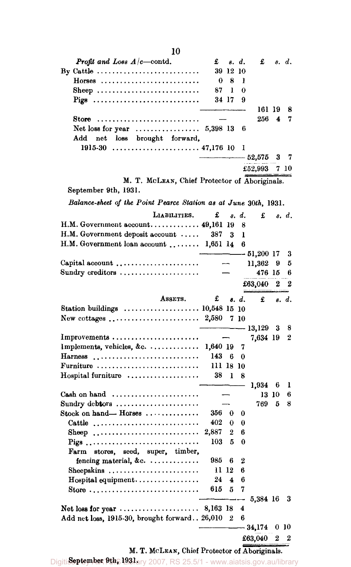| Profit and Loss $A/c$ contd.                                        | £         | 8.               | d.    | £            |       | s. d. |
|---------------------------------------------------------------------|-----------|------------------|-------|--------------|-------|-------|
| By Cattle $\dots \dots \dots \dots \dots \dots \dots \dots \dots$   |           | 39 12 10         |       |              |       |       |
| $Horses$                                                            | 0         | 8                | ı     |              |       |       |
| Sheep                                                               | 87        | 1                | 0     |              |       |       |
| Pigs                                                                |           | 34 17            | 9     |              |       |       |
|                                                                     |           |                  |       | 161 19       |       | 8     |
| Store                                                               |           |                  |       | 256          | 4     | 7     |
| Net loss for year $\ldots \ldots \ldots \ldots 5,398$ 13            |           |                  | 6     |              |       |       |
| net loss brought forward,<br>Add                                    |           |                  |       |              |       |       |
|                                                                     |           |                  | 1     |              |       |       |
|                                                                     |           |                  |       | - 52,575     | 3     | 7     |
|                                                                     |           |                  |       | £52,993      |       | 7 10  |
|                                                                     |           |                  |       |              |       |       |
| M. T. McLEAN, Chief Protector of Aboriginals.                       |           |                  |       |              |       |       |
| September 9th, 1931.                                                |           |                  |       |              |       |       |
| Balance-sheet of the Point Pearce Station as at June 30th, 1931.    |           |                  |       |              |       |       |
| LIABILITIES.                                                        | £         |                  | s. d. | £            |       | s. d. |
| H.M. Government account $49,161$ 19                                 |           |                  | 8     |              |       |       |
| H.M. Government deposit account                                     | 387       | 3                | ı     |              |       |       |
| H.M. Government loan account  1,651 14                              |           |                  | 6     |              |       |       |
|                                                                     |           |                  |       | $-51,200$ 17 |       | 3     |
| Capital account                                                     |           |                  |       | 11,362       | 9     | 5     |
| Sundry creditors                                                    |           |                  |       | 476 15       |       | 6     |
|                                                                     |           |                  |       | £63,040      | 2     | 2     |
| ASSETS.                                                             | £         |                  | 8. d. | £            |       | s. d. |
| Station buildings  10,548 15 10                                     |           |                  |       |              |       |       |
|                                                                     |           |                  | 7 10  |              |       |       |
|                                                                     |           |                  |       | $-13,129$    | 3     | 8     |
| Improvements                                                        |           |                  |       | 7,634 19     |       | 2     |
| Implements, vehicles, $\&c. \ldots \ldots \ldots$                   | 1,640 19  |                  | 7     |              |       |       |
| Harness                                                             | 143       | 6                | 0     |              |       |       |
| Furniture                                                           | 111 18 10 |                  |       |              |       |       |
| Hospital furniture                                                  | 38        | 1                | 8     |              |       |       |
|                                                                     |           |                  |       | 1,934        | 6     | 1     |
| Cash on hand $\dots\dots\dots\dots\dots\dots\dots\dots$             |           |                  |       |              | 13 10 | 6     |
| Sundry debtors                                                      |           |                  |       | 769          | 5     | 8     |
| Stock on hand— Horses                                               | 356 0     |                  | 0     |              |       |       |
| Cattle                                                              | 402       | $\bf{0}$         | 0     |              |       |       |
| Sheep                                                               | 2,887     | $\boldsymbol{2}$ | 6     |              |       |       |
| Pigs                                                                | 103       | 5                | 0     |              |       |       |
| stores, seed, super, timber,<br>Farm                                |           |                  |       |              |       |       |
| fencing material, &c. $\ldots$                                      | 985       | 6                | 2     |              |       |       |
| Sheepskins                                                          | 11 12     |                  | 6     |              |       |       |
| $H$ ospital equipment                                               | 24        | 4                | 6     |              |       |       |
| Store $\dots \dots \dots \dots \dots \dots \dots \dots \dots \dots$ | 615       | 5                | 7     |              |       |       |
|                                                                     |           |                  |       | 5,384 16     |       | 3     |
|                                                                     |           |                  | 4     |              |       |       |
| Add net loss, 1915-30, brought forward 26,010                       |           | $\bf{2}$         | 6     |              |       |       |
|                                                                     |           |                  |       | $-34,174$    |       | 010   |
|                                                                     |           |                  |       | £63,040      | 2     | 2     |
|                                                                     |           |                  |       |              |       |       |

Digiti**September 9th, 1931** ary 2007, RS 25.5/1 - www.aiatsis.gov.au/library